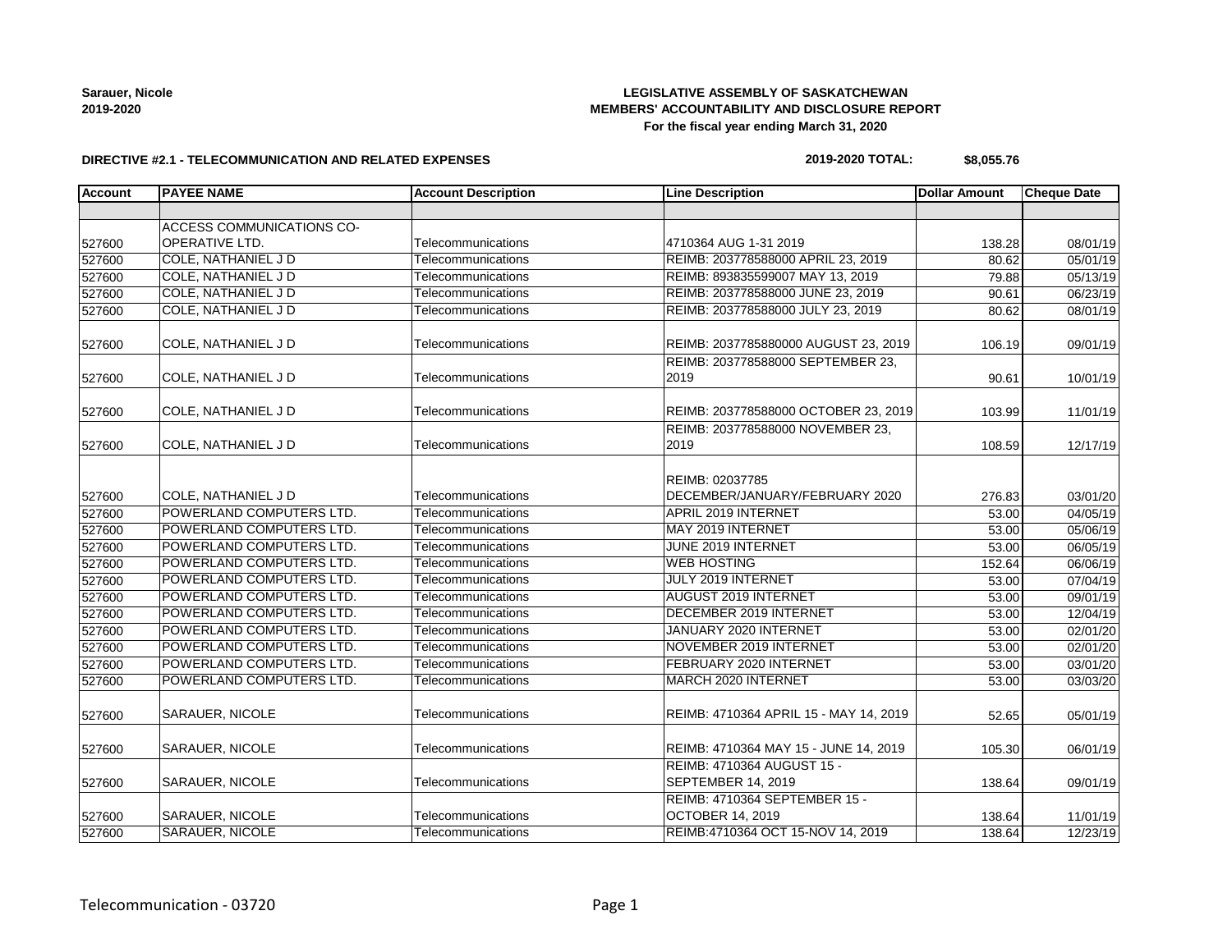#### **Sarauer, Nicole 2019-2020**

# **LEGISLATIVE ASSEMBLY OF SASKATCHEWAN MEMBERS' ACCOUNTABILITY AND DISCLOSURE REPORT For the fiscal year ending March 31, 2020**

#### **DIRECTIVE #2.1 - TELECOMMUNICATION AND RELATED EXPENSES**

#### **2019-2020 TOTAL: \$8,055.76**

| Account | <b>PAYEE NAME</b>         | <b>Account Description</b> | <b>Line Description</b>                                  | <b>Dollar Amount</b> | <b>Cheque Date</b> |
|---------|---------------------------|----------------------------|----------------------------------------------------------|----------------------|--------------------|
|         |                           |                            |                                                          |                      |                    |
|         | ACCESS COMMUNICATIONS CO- |                            |                                                          |                      |                    |
| 527600  | <b>OPERATIVE LTD.</b>     | Telecommunications         | 4710364 AUG 1-31 2019                                    | 138.28               | 08/01/19           |
| 527600  | COLE, NATHANIEL J D       | Telecommunications         | REIMB: 203778588000 APRIL 23, 2019                       | 80.62                | 05/01/19           |
| 527600  | COLE, NATHANIEL J D       | Telecommunications         | REIMB: 893835599007 MAY 13, 2019                         | 79.88                | 05/13/19           |
| 527600  | COLE, NATHANIEL J D       | Telecommunications         | REIMB: 203778588000 JUNE 23, 2019                        | 90.61                | 06/23/19           |
| 527600  | COLE, NATHANIEL J D       | Telecommunications         | REIMB: 203778588000 JULY 23, 2019                        | 80.62                | 08/01/19           |
| 527600  | COLE, NATHANIEL J D       | Telecommunications         | REIMB: 2037785880000 AUGUST 23, 2019                     | 106.19               | 09/01/19           |
| 527600  | COLE, NATHANIEL J D       | Telecommunications         | REIMB: 203778588000 SEPTEMBER 23,<br>2019                | 90.61                | 10/01/19           |
| 527600  | COLE, NATHANIEL J D       | Telecommunications         | REIMB: 203778588000 OCTOBER 23, 2019                     | 103.99               | 11/01/19           |
| 527600  | COLE, NATHANIEL J D       | Telecommunications         | REIMB: 203778588000 NOVEMBER 23,<br>2019                 | 108.59               | 12/17/19           |
| 527600  | COLE, NATHANIEL J D       | Telecommunications         | REIMB: 02037785<br>DECEMBER/JANUARY/FEBRUARY 2020        | 276.83               | 03/01/20           |
| 527600  | POWERLAND COMPUTERS LTD.  | Telecommunications         | APRIL 2019 INTERNET                                      | 53.00                | 04/05/19           |
| 527600  | POWERLAND COMPUTERS LTD.  | Telecommunications         | MAY 2019 INTERNET                                        | 53.00                | 05/06/19           |
| 527600  | POWERLAND COMPUTERS LTD.  | Telecommunications         | JUNE 2019 INTERNET                                       | 53.00                | 06/05/19           |
| 527600  | POWERLAND COMPUTERS LTD.  | Telecommunications         | <b>WEB HOSTING</b>                                       | 152.64               | 06/06/19           |
| 527600  | POWERLAND COMPUTERS LTD.  | Telecommunications         | <b>JULY 2019 INTERNET</b>                                | 53.00                | 07/04/19           |
| 527600  | POWERLAND COMPUTERS LTD.  | Telecommunications         | <b>AUGUST 2019 INTERNET</b>                              | 53.00                | 09/01/19           |
| 527600  | POWERLAND COMPUTERS LTD.  | Telecommunications         | DECEMBER 2019 INTERNET                                   | 53.00                | 12/04/19           |
| 527600  | POWERLAND COMPUTERS LTD.  | Telecommunications         | JANUARY 2020 INTERNET                                    | 53.00                | 02/01/20           |
| 527600  | POWERLAND COMPUTERS LTD.  | Telecommunications         | NOVEMBER 2019 INTERNET                                   | 53.00                | 02/01/20           |
| 527600  | POWERLAND COMPUTERS LTD.  | Telecommunications         | FEBRUARY 2020 INTERNET                                   | 53.00                | 03/01/20           |
| 527600  | POWERLAND COMPUTERS LTD.  | Telecommunications         | <b>MARCH 2020 INTERNET</b>                               | 53.00                | 03/03/20           |
| 527600  | <b>SARAUER, NICOLE</b>    | Telecommunications         | REIMB: 4710364 APRIL 15 - MAY 14, 2019                   | 52.65                | 05/01/19           |
| 527600  | SARAUER, NICOLE           | Telecommunications         | REIMB: 4710364 MAY 15 - JUNE 14, 2019                    | 105.30               | 06/01/19           |
| 527600  | SARAUER, NICOLE           | Telecommunications         | REIMB: 4710364 AUGUST 15 -<br>SEPTEMBER 14, 2019         | 138.64               | 09/01/19           |
| 527600  | SARAUER, NICOLE           | Telecommunications         | REIMB: 4710364 SEPTEMBER 15 -<br><b>OCTOBER 14, 2019</b> | 138.64               | 11/01/19           |
| 527600  | <b>SARAUER, NICOLE</b>    | Telecommunications         | REIMB:4710364 OCT 15-NOV 14, 2019                        | 138.64               | 12/23/19           |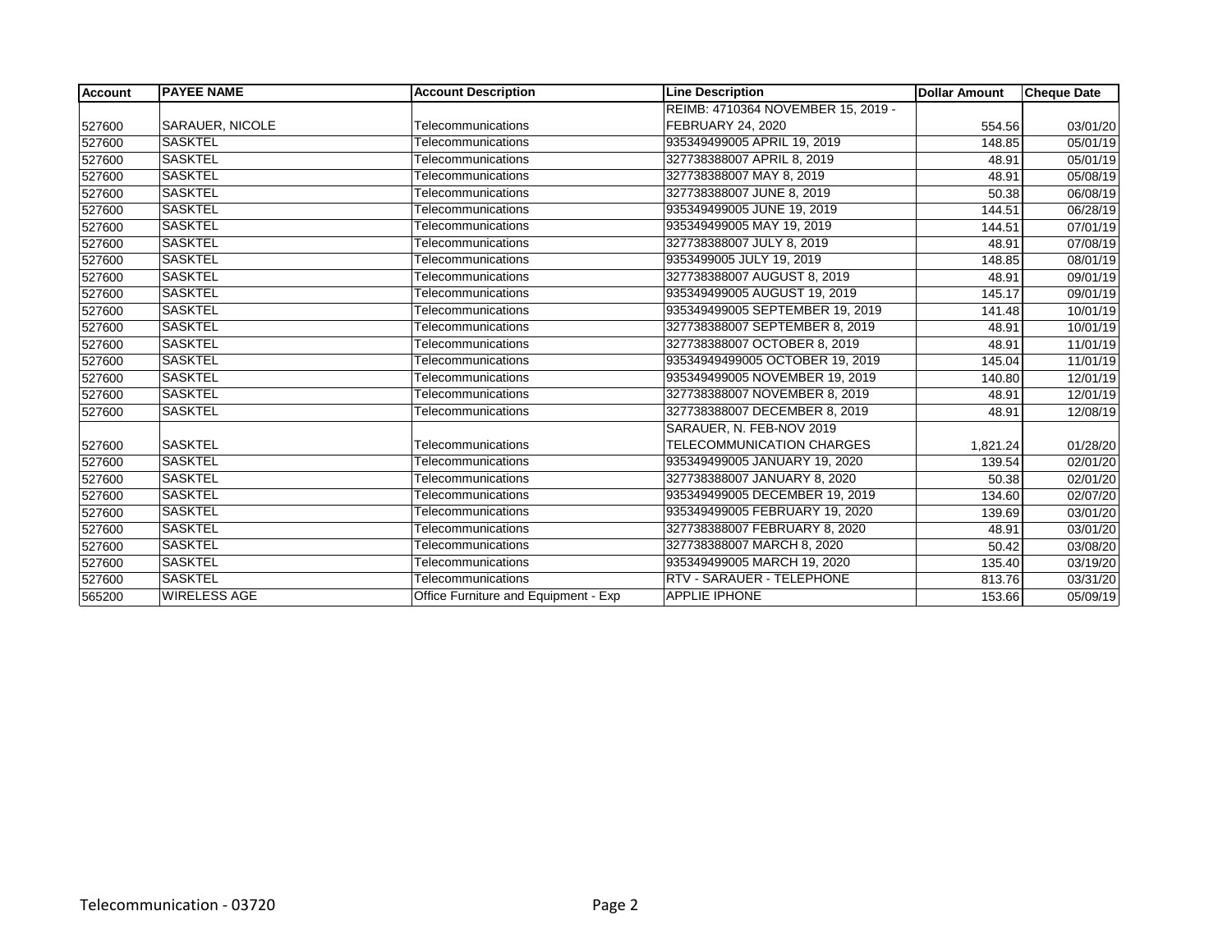| <b>Account</b> | <b>PAYEE NAME</b>      | <b>Account Description</b>           | <b>Line Description</b>            | <b>Dollar Amount</b> | <b>Cheque Date</b> |
|----------------|------------------------|--------------------------------------|------------------------------------|----------------------|--------------------|
|                |                        |                                      | REIMB: 4710364 NOVEMBER 15, 2019 - |                      |                    |
| 527600         | <b>SARAUER, NICOLE</b> | Telecommunications                   | FEBRUARY 24, 2020                  | 554.56               | 03/01/20           |
| 527600         | <b>SASKTEL</b>         | Telecommunications                   | 935349499005 APRIL 19, 2019        | 148.85               | 05/01/19           |
| 527600         | SASKTEL                | Telecommunications                   | 327738388007 APRIL 8, 2019         | 48.91                | 05/01/19           |
| 527600         | <b>SASKTEL</b>         | Telecommunications                   | 327738388007 MAY 8, 2019           | 48.91                | 05/08/19           |
| 527600         | <b>SASKTEL</b>         | Telecommunications                   | 327738388007 JUNE 8, 2019          | 50.38                | 06/08/19           |
| 527600         | SASKTEL                | Telecommunications                   | 935349499005 JUNE 19, 2019         | 144.51               | 06/28/19           |
| 527600         | <b>SASKTEL</b>         | Telecommunications                   | 935349499005 MAY 19, 2019          | 144.51               | 07/01/19           |
| 527600         | SASKTEL                | Telecommunications                   | 327738388007 JULY 8, 2019          | 48.91                | 07/08/19           |
| 527600         | <b>SASKTEL</b>         | Telecommunications                   | 9353499005 JULY 19, 2019           | 148.85               | 08/01/19           |
| 527600         | <b>SASKTEL</b>         | Telecommunications                   | 327738388007 AUGUST 8, 2019        | 48.91                | 09/01/19           |
| 527600         | SASKTEL                | Telecommunications                   | 935349499005 AUGUST 19, 2019       | 145.17               | 09/01/19           |
| 527600         | <b>SASKTEL</b>         | Telecommunications                   | 935349499005 SEPTEMBER 19, 2019    | 141.48               | 10/01/19           |
| 527600         | SASKTEL                | Telecommunications                   | 327738388007 SEPTEMBER 8, 2019     | 48.91                | 10/01/19           |
| 527600         | <b>SASKTEL</b>         | Telecommunications                   | 327738388007 OCTOBER 8, 2019       | 48.91                | 11/01/19           |
| 527600         | <b>SASKTEL</b>         | Telecommunications                   | 93534949499005 OCTOBER 19, 2019    | 145.04               | 11/01/19           |
| 527600         | <b>SASKTEL</b>         | Telecommunications                   | 935349499005 NOVEMBER 19, 2019     | 140.80               | 12/01/19           |
| 527600         | <b>SASKTEL</b>         | Telecommunications                   | 327738388007 NOVEMBER 8, 2019      | 48.91                | 12/01/19           |
| 527600         | SASKTEL                | Telecommunications                   | 327738388007 DECEMBER 8, 2019      | 48.91                | 12/08/19           |
|                |                        |                                      | SARAUER. N. FEB-NOV 2019           |                      |                    |
| 527600         | <b>SASKTEL</b>         | Telecommunications                   | TELECOMMUNICATION CHARGES          | 1,821.24             | 01/28/20           |
| 527600         | SASKTEL                | Telecommunications                   | 935349499005 JANUARY 19, 2020      | 139.54               | 02/01/20           |
| 527600         | <b>SASKTEL</b>         | Telecommunications                   | 327738388007 JANUARY 8, 2020       | 50.38                | 02/01/20           |
| 527600         | <b>SASKTEL</b>         | Telecommunications                   | 935349499005 DECEMBER 19, 2019     | 134.60               | 02/07/20           |
| 527600         | SASKTEL                | Telecommunications                   | 935349499005 FEBRUARY 19, 2020     | 139.69               | 03/01/20           |
| 527600         | <b>SASKTEL</b>         | Telecommunications                   | 327738388007 FEBRUARY 8, 2020      | 48.91                | 03/01/20           |
| 527600         | SASKTEL                | Telecommunications                   | 327738388007 MARCH 8, 2020         | 50.42                | 03/08/20           |
| 527600         | <b>SASKTEL</b>         | Telecommunications                   | 935349499005 MARCH 19, 2020        | 135.40               | 03/19/20           |
| 527600         | <b>SASKTEL</b>         | Telecommunications                   | <b>RTV - SARAUER - TELEPHONE</b>   | 813.76               | 03/31/20           |
| 565200         | <b>WIRELESS AGE</b>    | Office Furniture and Equipment - Exp | <b>APPLIE IPHONE</b>               | 153.66               | 05/09/19           |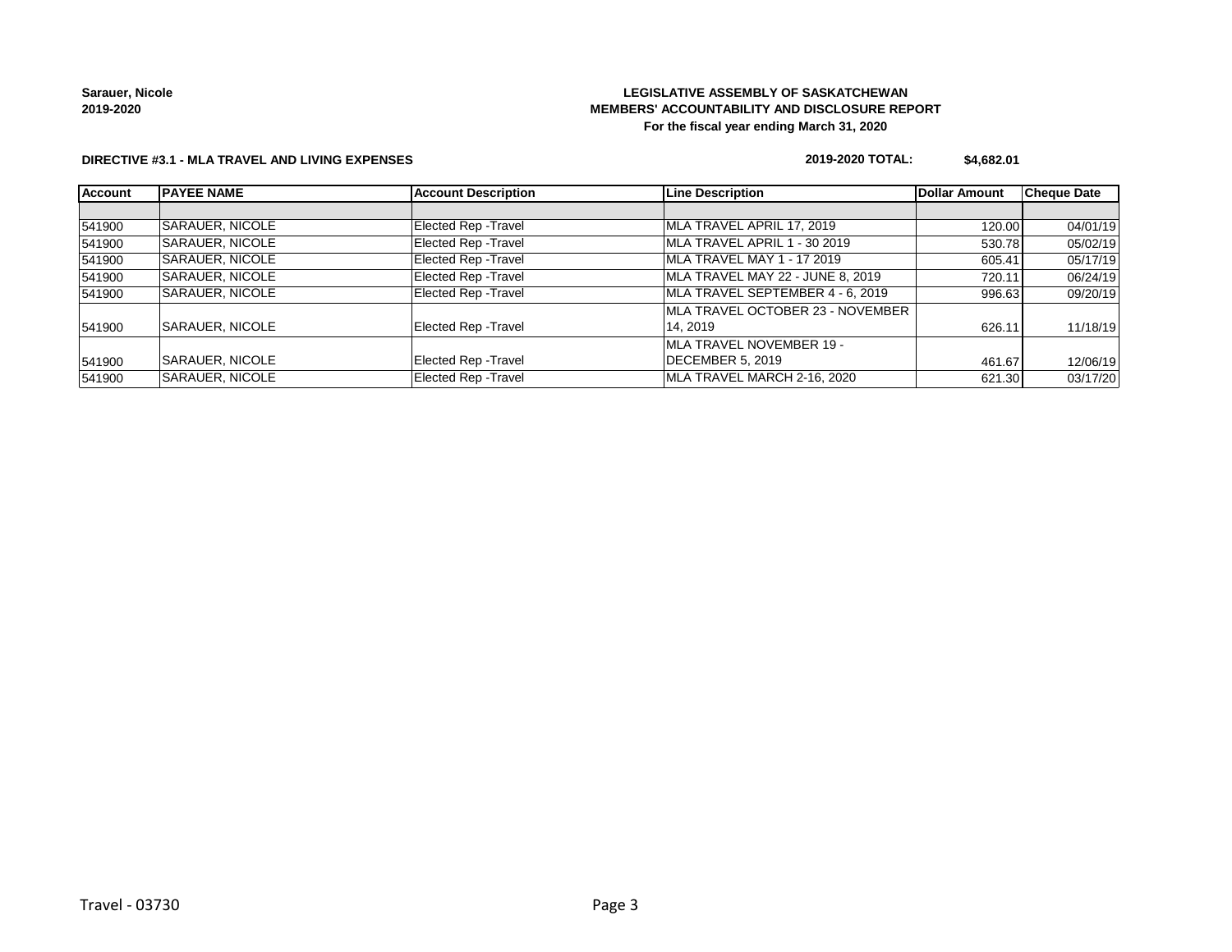**Sarauer, Nicole 2019-2020**

# **LEGISLATIVE ASSEMBLY OF SASKATCHEWAN MEMBERS' ACCOUNTABILITY AND DISCLOSURE REPORT For the fiscal year ending March 31, 2020**

#### **DIRECTIVE #3.1 - MLA TRAVEL AND LIVING EXPENSES**

# **2019-2020 TOTAL: \$4,682.01**

| <b>Account</b> | <b>IPAYEE NAME</b>     | <b>Account Description</b>  | <b>Line Description</b>          | <b>Dollar Amount</b> | <b>Cheque Date</b> |
|----------------|------------------------|-----------------------------|----------------------------------|----------------------|--------------------|
|                |                        |                             |                                  |                      |                    |
| 541900         | SARAUER, NICOLE        | Elected Rep - Travel        | MLA TRAVEL APRIL 17, 2019        | 120.00               | 04/01/19           |
| 541900         | SARAUER, NICOLE        | Elected Rep - Travel        | MLA TRAVEL APRIL 1 - 30 2019     | 530.78               | 05/02/19           |
| 541900         | SARAUER, NICOLE        | Elected Rep - Travel        | MLA TRAVEL MAY 1 - 17 2019       | 605.41               | 05/17/19           |
| 541900         | SARAUER, NICOLE        | Elected Rep - Travel        | MLA TRAVEL MAY 22 - JUNE 8, 2019 | 720.11               | 06/24/19           |
| 541900         | <b>SARAUER, NICOLE</b> | Elected Rep - Travel        | MLA TRAVEL SEPTEMBER 4 - 6, 2019 | 996.63               | 09/20/19           |
|                |                        |                             | MLA TRAVEL OCTOBER 23 - NOVEMBER |                      |                    |
| 541900         | SARAUER, NICOLE        | <b>Elected Rep - Travel</b> | 14.2019                          | 626.11               | 11/18/19           |
|                |                        |                             | <b>MLA TRAVEL NOVEMBER 19 -</b>  |                      |                    |
| 541900         | SARAUER, NICOLE        | <b>Elected Rep - Travel</b> | DECEMBER 5, 2019                 | 461.67               | 12/06/19           |
| 541900         | SARAUER, NICOLE        | Elected Rep - Travel        | MLA TRAVEL MARCH 2-16, 2020      | 621.30               | 03/17/20           |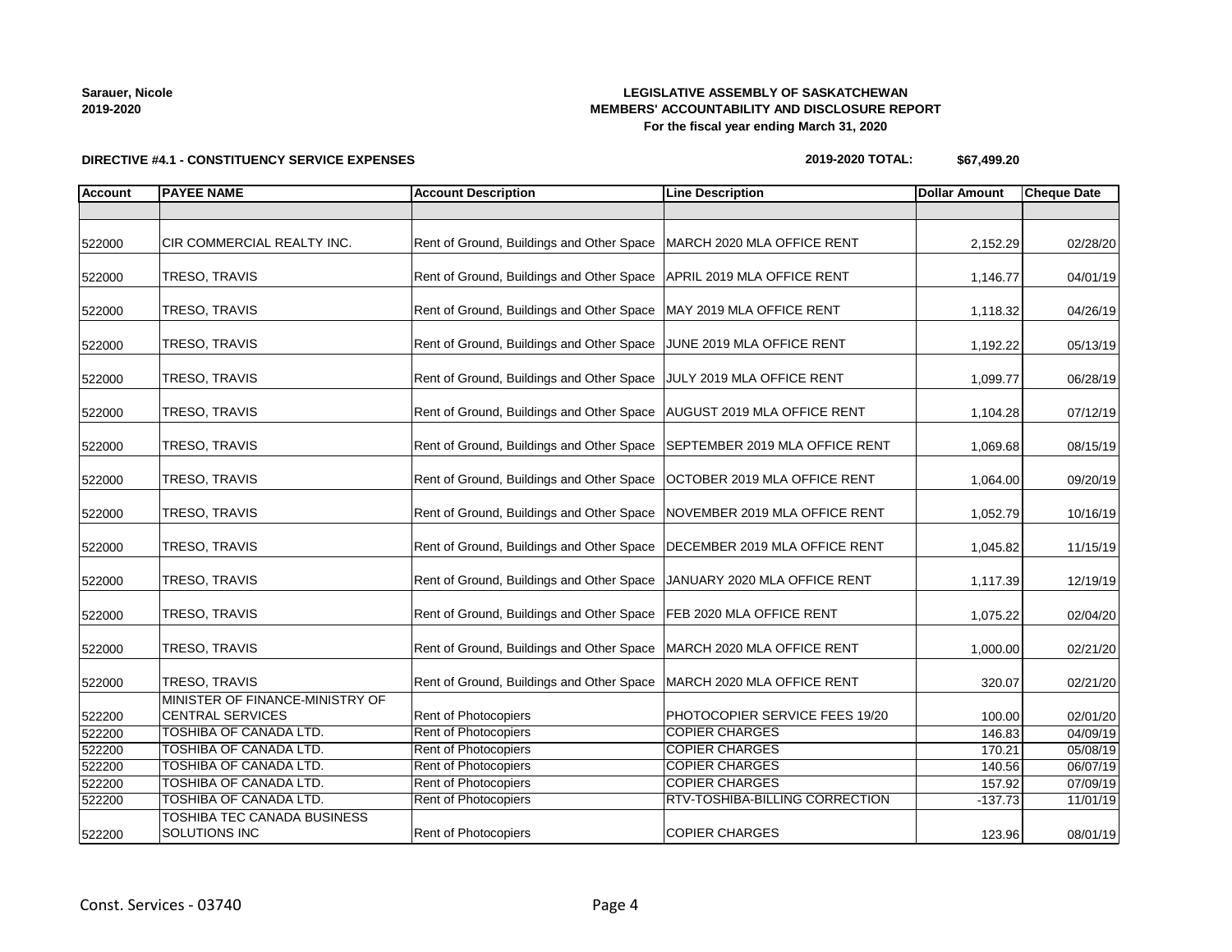| Sarauer, Nicole |  |
|-----------------|--|
| 2019-2020       |  |

# **LEGISLATIVE ASSEMBLY OF SASKATCHEWAN MEMBERS' ACCOUNTABILITY AND DISCLOSURE REPORT For the fiscal year ending March 31, 2020**

**2019-2020 TOTAL: \$67,499.20**

| <b>Account</b> | <b>PAYEE NAME</b>                                          | <b>Account Description</b>                                                | <b>Line Description</b>               | <b>Dollar Amount</b> | <b>Cheque Date</b> |
|----------------|------------------------------------------------------------|---------------------------------------------------------------------------|---------------------------------------|----------------------|--------------------|
|                |                                                            |                                                                           |                                       |                      |                    |
| 522000         | CIR COMMERCIAL REALTY INC.                                 | Rent of Ground, Buildings and Other Space   MARCH 2020 MLA OFFICE RENT    |                                       | 2,152.29             | 02/28/20           |
| 522000         | <b>TRESO, TRAVIS</b>                                       | Rent of Ground, Buildings and Other Space   APRIL 2019 MLA OFFICE RENT    |                                       | 1,146.77             | 04/01/19           |
| 522000         | TRESO, TRAVIS                                              | Rent of Ground, Buildings and Other Space   MAY 2019 MLA OFFICE RENT      |                                       | 1,118.32             | 04/26/19           |
| 522000         | <b>TRESO, TRAVIS</b>                                       | Rent of Ground, Buildings and Other Space JUNE 2019 MLA OFFICE RENT       |                                       | 1,192.22             | 05/13/19           |
| 522000         | TRESO, TRAVIS                                              | Rent of Ground, Buildings and Other Space JULY 2019 MLA OFFICE RENT       |                                       | 1,099.77             | 06/28/19           |
| 522000         | TRESO, TRAVIS                                              | Rent of Ground, Buildings and Other Space   AUGUST 2019 MLA OFFICE RENT   |                                       | 1,104.28             | 07/12/19           |
| 522000         | TRESO, TRAVIS                                              | Rent of Ground, Buildings and Other Space SEPTEMBER 2019 MLA OFFICE RENT  |                                       | 1,069.68             | 08/15/19           |
| 522000         | TRESO, TRAVIS                                              | Rent of Ground, Buildings and Other Space                                 | OCTOBER 2019 MLA OFFICE RENT          | 1,064.00             | 09/20/19           |
| 522000         | <b>TRESO, TRAVIS</b>                                       | Rent of Ground, Buildings and Other Space                                 | NOVEMBER 2019 MLA OFFICE RENT         | 1,052.79             | 10/16/19           |
| 522000         | <b>TRESO, TRAVIS</b>                                       | Rent of Ground, Buildings and Other Space   DECEMBER 2019 MLA OFFICE RENT |                                       | 1,045.82             | 11/15/19           |
| 522000         | TRESO, TRAVIS                                              | Rent of Ground, Buildings and Other Space                                 | JANUARY 2020 MLA OFFICE RENT          | 1,117.39             | 12/19/19           |
| 522000         | <b>TRESO, TRAVIS</b>                                       | Rent of Ground, Buildings and Other Space                                 | FEB 2020 MLA OFFICE RENT              | 1,075.22             | 02/04/20           |
| 522000         | <b>TRESO, TRAVIS</b>                                       | Rent of Ground, Buildings and Other Space   MARCH 2020 MLA OFFICE RENT    |                                       | 1,000.00             | 02/21/20           |
| 522000         | TRESO, TRAVIS                                              | Rent of Ground, Buildings and Other Space                                 | MARCH 2020 MLA OFFICE RENT            | 320.07               | 02/21/20           |
| 522200         | MINISTER OF FINANCE-MINISTRY OF<br><b>CENTRAL SERVICES</b> | <b>Rent of Photocopiers</b>                                               | PHOTOCOPIER SERVICE FEES 19/20        | 100.00               | 02/01/20           |
| 522200         | <b>TOSHIBA OF CANADA LTD.</b>                              | <b>Rent of Photocopiers</b>                                               | <b>COPIER CHARGES</b>                 | 146.83               | 04/09/19           |
| 522200         | <b>TOSHIBA OF CANADA LTD.</b>                              | <b>Rent of Photocopiers</b>                                               | <b>COPIER CHARGES</b>                 | 170.21               | 05/08/19           |
| 522200         | TOSHIBA OF CANADA LTD.                                     | Rent of Photocopiers                                                      | <b>COPIER CHARGES</b>                 | 140.56               | 06/07/19           |
| 522200         | TOSHIBA OF CANADA LTD.                                     | Rent of Photocopiers                                                      | <b>COPIER CHARGES</b>                 | 157.92               | 07/09/19           |
| 522200         | TOSHIBA OF CANADA LTD.                                     | Rent of Photocopiers                                                      | <b>RTV-TOSHIBA-BILLING CORRECTION</b> | $-137.73$            | 11/01/19           |
| 522200         | TOSHIBA TEC CANADA BUSINESS<br><b>SOLUTIONS INC</b>        | <b>Rent of Photocopiers</b>                                               | <b>COPIER CHARGES</b>                 | 123.96               | 08/01/19           |

**DIRECTIVE #4.1 - CONSTITUENCY SERVICE EXPENSES**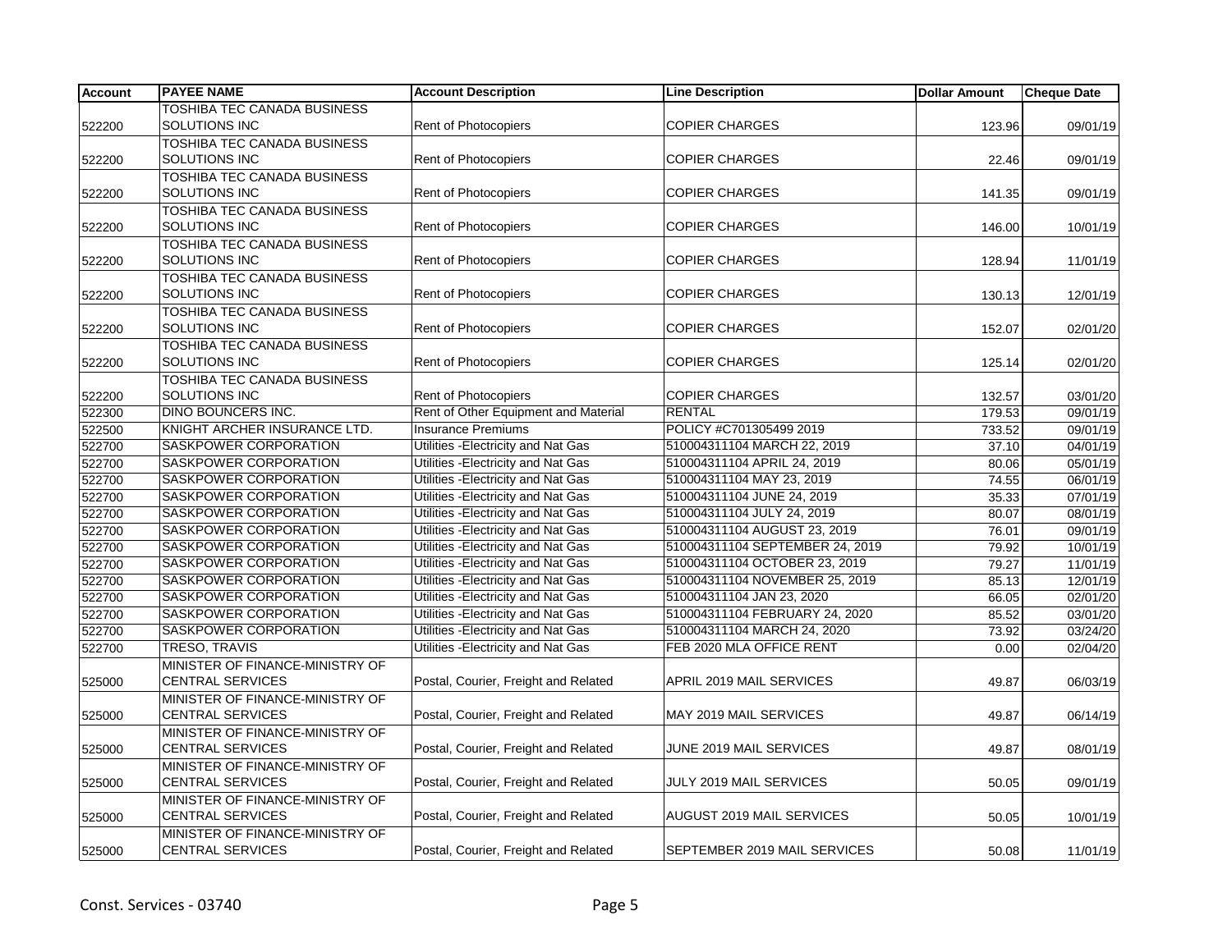| <b>Account</b> | <b>PAYEE NAME</b>                  | <b>Account Description</b>           | <b>Line Description</b>         | <b>Dollar Amount</b> | <b>Cheque Date</b> |
|----------------|------------------------------------|--------------------------------------|---------------------------------|----------------------|--------------------|
|                | TOSHIBA TEC CANADA BUSINESS        |                                      |                                 |                      |                    |
| 522200         | SOLUTIONS INC                      | <b>Rent of Photocopiers</b>          | <b>COPIER CHARGES</b>           | 123.96               | 09/01/19           |
|                | TOSHIBA TEC CANADA BUSINESS        |                                      |                                 |                      |                    |
| 522200         | SOLUTIONS INC                      | <b>Rent of Photocopiers</b>          | <b>COPIER CHARGES</b>           | 22.46                | 09/01/19           |
|                | TOSHIBA TEC CANADA BUSINESS        |                                      |                                 |                      |                    |
| 522200         | SOLUTIONS INC                      | <b>Rent of Photocopiers</b>          | <b>COPIER CHARGES</b>           | 141.35               | 09/01/19           |
|                | TOSHIBA TEC CANADA BUSINESS        |                                      |                                 |                      |                    |
| 522200         | <b>SOLUTIONS INC</b>               | <b>Rent of Photocopiers</b>          | <b>COPIER CHARGES</b>           | 146.00               | 10/01/19           |
|                | TOSHIBA TEC CANADA BUSINESS        |                                      |                                 |                      |                    |
| 522200         | SOLUTIONS INC                      | <b>Rent of Photocopiers</b>          | <b>COPIER CHARGES</b>           | 128.94               | 11/01/19           |
|                | <b>TOSHIBA TEC CANADA BUSINESS</b> |                                      |                                 |                      |                    |
| 522200         | <b>SOLUTIONS INC</b>               | <b>Rent of Photocopiers</b>          | <b>COPIER CHARGES</b>           | 130.13               | 12/01/19           |
|                | <b>TOSHIBA TEC CANADA BUSINESS</b> |                                      |                                 |                      |                    |
| 522200         | SOLUTIONS INC                      | <b>Rent of Photocopiers</b>          | <b>COPIER CHARGES</b>           | 152.07               | 02/01/20           |
|                | TOSHIBA TEC CANADA BUSINESS        |                                      |                                 |                      |                    |
| 522200         | SOLUTIONS INC                      | <b>Rent of Photocopiers</b>          | <b>COPIER CHARGES</b>           | 125.14               | 02/01/20           |
|                | TOSHIBA TEC CANADA BUSINESS        |                                      |                                 |                      |                    |
| 522200         | SOLUTIONS INC                      | <b>Rent of Photocopiers</b>          | <b>COPIER CHARGES</b>           | 132.57               | 03/01/20           |
| 522300         | DINO BOUNCERS INC.                 | Rent of Other Equipment and Material | <b>RENTAL</b>                   | 179.53               | 09/01/19           |
| 522500         | KNIGHT ARCHER INSURANCE LTD.       | <b>Insurance Premiums</b>            | POLICY #C701305499 2019         | 733.52               | 09/01/19           |
| 522700         | SASKPOWER CORPORATION              | Utilities - Electricity and Nat Gas  | 510004311104 MARCH 22, 2019     | 37.10                | 04/01/19           |
| 522700         | SASKPOWER CORPORATION              | Utilities - Electricity and Nat Gas  | 510004311104 APRIL 24, 2019     | 80.06                | 05/01/19           |
| 522700         | SASKPOWER CORPORATION              | Utilities - Electricity and Nat Gas  | 510004311104 MAY 23, 2019       | 74.55                | 06/01/19           |
| 522700         | SASKPOWER CORPORATION              | Utilities - Electricity and Nat Gas  | 510004311104 JUNE 24, 2019      | 35.33                | 07/01/19           |
| 522700         | SASKPOWER CORPORATION              | Utilities - Electricity and Nat Gas  | 510004311104 JULY 24, 2019      | 80.07                | 08/01/19           |
| 522700         | SASKPOWER CORPORATION              | Utilities - Electricity and Nat Gas  | 510004311104 AUGUST 23, 2019    | 76.01                | 09/01/19           |
| 522700         | SASKPOWER CORPORATION              | Utilities - Electricity and Nat Gas  | 510004311104 SEPTEMBER 24, 2019 | 79.92                | 10/01/19           |
| 522700         | SASKPOWER CORPORATION              | Utilities - Electricity and Nat Gas  | 510004311104 OCTOBER 23, 2019   | 79.27                | 11/01/19           |
| 522700         | SASKPOWER CORPORATION              | Utilities - Electricity and Nat Gas  | 510004311104 NOVEMBER 25, 2019  | 85.13                | 12/01/19           |
| 522700         | SASKPOWER CORPORATION              | Utilities - Electricity and Nat Gas  | 510004311104 JAN 23, 2020       | 66.05                | 02/01/20           |
| 522700         | SASKPOWER CORPORATION              | Utilities - Electricity and Nat Gas  | 510004311104 FEBRUARY 24, 2020  | 85.52                | 03/01/20           |
| 522700         | SASKPOWER CORPORATION              | Utilities - Electricity and Nat Gas  | 510004311104 MARCH 24, 2020     | 73.92                | 03/24/20           |
| 522700         | TRESO, TRAVIS                      | Utilities - Electricity and Nat Gas  | FEB 2020 MLA OFFICE RENT        | 0.00                 | 02/04/20           |
|                | MINISTER OF FINANCE-MINISTRY OF    |                                      |                                 |                      |                    |
| 525000         | <b>CENTRAL SERVICES</b>            | Postal, Courier, Freight and Related | APRIL 2019 MAIL SERVICES        | 49.87                | 06/03/19           |
|                | MINISTER OF FINANCE-MINISTRY OF    |                                      |                                 |                      |                    |
| 525000         | <b>CENTRAL SERVICES</b>            | Postal, Courier, Freight and Related | MAY 2019 MAIL SERVICES          | 49.87                | 06/14/19           |
|                | MINISTER OF FINANCE-MINISTRY OF    |                                      |                                 |                      |                    |
| 525000         | <b>CENTRAL SERVICES</b>            | Postal, Courier, Freight and Related | JUNE 2019 MAIL SERVICES         | 49.87                | 08/01/19           |
|                | MINISTER OF FINANCE-MINISTRY OF    |                                      |                                 |                      |                    |
| 525000         | <b>CENTRAL SERVICES</b>            | Postal, Courier, Freight and Related | JULY 2019 MAIL SERVICES         | 50.05                | 09/01/19           |
|                | MINISTER OF FINANCE-MINISTRY OF    |                                      |                                 |                      |                    |
| 525000         | <b>CENTRAL SERVICES</b>            | Postal, Courier, Freight and Related | AUGUST 2019 MAIL SERVICES       | 50.05                | 10/01/19           |
|                | MINISTER OF FINANCE-MINISTRY OF    |                                      |                                 |                      |                    |
| 525000         | <b>CENTRAL SERVICES</b>            | Postal, Courier, Freight and Related | SEPTEMBER 2019 MAIL SERVICES    | 50.08                | 11/01/19           |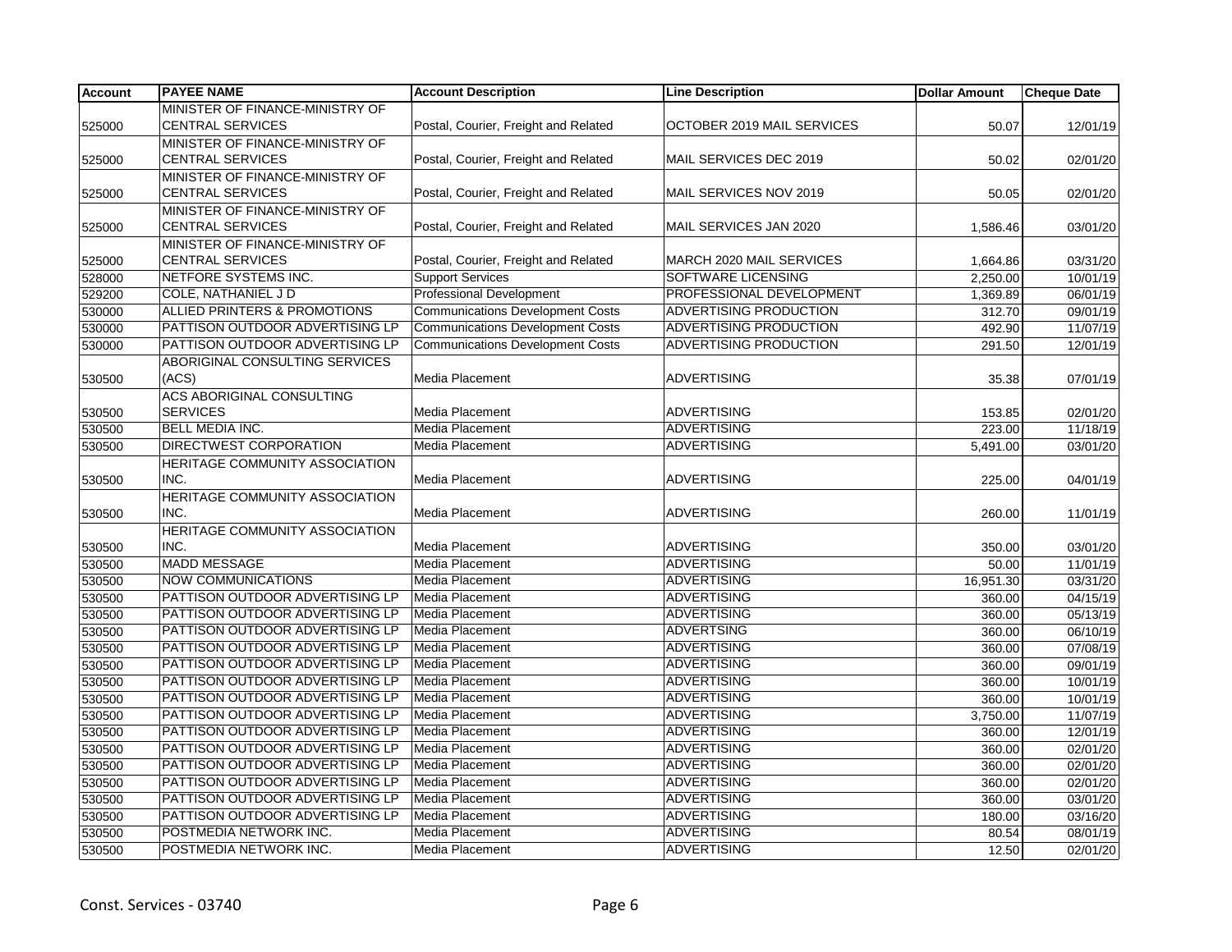| <b>Account</b> | <b>PAYEE NAME</b>                | <b>Account Description</b>              | <b>Line Description</b>       | <b>Dollar Amount</b> | <b>Cheque Date</b> |
|----------------|----------------------------------|-----------------------------------------|-------------------------------|----------------------|--------------------|
|                | MINISTER OF FINANCE-MINISTRY OF  |                                         |                               |                      |                    |
| 525000         | <b>CENTRAL SERVICES</b>          | Postal, Courier, Freight and Related    | OCTOBER 2019 MAIL SERVICES    | 50.07                | 12/01/19           |
|                | MINISTER OF FINANCE-MINISTRY OF  |                                         |                               |                      |                    |
| 525000         | <b>CENTRAL SERVICES</b>          | Postal, Courier, Freight and Related    | MAIL SERVICES DEC 2019        | 50.02                | 02/01/20           |
|                | MINISTER OF FINANCE-MINISTRY OF  |                                         |                               |                      |                    |
| 525000         | <b>CENTRAL SERVICES</b>          | Postal, Courier, Freight and Related    | MAIL SERVICES NOV 2019        | 50.05                | 02/01/20           |
|                | MINISTER OF FINANCE-MINISTRY OF  |                                         |                               |                      |                    |
| 525000         | <b>CENTRAL SERVICES</b>          | Postal, Courier, Freight and Related    | MAIL SERVICES JAN 2020        | 1,586.46             | 03/01/20           |
|                | MINISTER OF FINANCE-MINISTRY OF  |                                         |                               |                      |                    |
| 525000         | <b>CENTRAL SERVICES</b>          | Postal, Courier, Freight and Related    | MARCH 2020 MAIL SERVICES      | 1,664.86             | 03/31/20           |
| 528000         | NETFORE SYSTEMS INC.             | <b>Support Services</b>                 | SOFTWARE LICENSING            | 2,250.00             | 10/01/19           |
| 529200         | COLE, NATHANIEL J D              | <b>Professional Development</b>         | PROFESSIONAL DEVELOPMENT      | 1,369.89             | 06/01/19           |
| 530000         | ALLIED PRINTERS & PROMOTIONS     | <b>Communications Development Costs</b> | ADVERTISING PRODUCTION        | 312.70               | 09/01/19           |
| 530000         | PATTISON OUTDOOR ADVERTISING LP  | <b>Communications Development Costs</b> | <b>ADVERTISING PRODUCTION</b> | 492.90               | 11/07/19           |
| 530000         | PATTISON OUTDOOR ADVERTISING LP  | <b>Communications Development Costs</b> | ADVERTISING PRODUCTION        | 291.50               | 12/01/19           |
|                | ABORIGINAL CONSULTING SERVICES   |                                         |                               |                      |                    |
| 530500         | (ACS)                            | Media Placement                         | <b>ADVERTISING</b>            | 35.38                | 07/01/19           |
|                | <b>ACS ABORIGINAL CONSULTING</b> |                                         |                               |                      |                    |
| 530500         | <b>SERVICES</b>                  | Media Placement                         | <b>ADVERTISING</b>            | 153.85               | 02/01/20           |
| 530500         | <b>BELL MEDIA INC.</b>           | Media Placement                         | <b>ADVERTISING</b>            | 223.00               | 11/18/19           |
| 530500         | DIRECTWEST CORPORATION           | Media Placement                         | <b>ADVERTISING</b>            | 5,491.00             | 03/01/20           |
|                | HERITAGE COMMUNITY ASSOCIATION   |                                         |                               |                      |                    |
| 530500         | INC.                             | Media Placement                         | <b>ADVERTISING</b>            | 225.00               | 04/01/19           |
|                | HERITAGE COMMUNITY ASSOCIATION   |                                         |                               |                      |                    |
| 530500         | INC.                             | Media Placement                         | <b>ADVERTISING</b>            | 260.00               | 11/01/19           |
|                | HERITAGE COMMUNITY ASSOCIATION   |                                         |                               |                      |                    |
| 530500         | INC.                             | Media Placement                         | <b>ADVERTISING</b>            | 350.00               | 03/01/20           |
| 530500         | <b>MADD MESSAGE</b>              | Media Placement                         | <b>ADVERTISING</b>            | 50.00                | 11/01/19           |
| 530500         | <b>NOW COMMUNICATIONS</b>        | Media Placement                         | <b>ADVERTISING</b>            | 16,951.30            | 03/31/20           |
| 530500         | PATTISON OUTDOOR ADVERTISING LP  | Media Placement                         | <b>ADVERTISING</b>            | 360.00               | 04/15/19           |
| 530500         | PATTISON OUTDOOR ADVERTISING LP  | <b>Media Placement</b>                  | <b>ADVERTISING</b>            | 360.00               | 05/13/19           |
| 530500         | PATTISON OUTDOOR ADVERTISING LP  | Media Placement                         | <b>ADVERTSING</b>             | 360.00               | 06/10/19           |
| 530500         | PATTISON OUTDOOR ADVERTISING LP  | Media Placement                         | <b>ADVERTISING</b>            | 360.00               | 07/08/19           |
| 530500         | PATTISON OUTDOOR ADVERTISING LP  | Media Placement                         | <b>ADVERTISING</b>            | 360.00               | 09/01/19           |
| 530500         | PATTISON OUTDOOR ADVERTISING LP  | <b>Media Placement</b>                  | <b>ADVERTISING</b>            | 360.00               | 10/01/19           |
| 530500         | PATTISON OUTDOOR ADVERTISING LP  | Media Placement                         | <b>ADVERTISING</b>            | 360.00               | 10/01/19           |
| 530500         | PATTISON OUTDOOR ADVERTISING LP  | Media Placement                         | <b>ADVERTISING</b>            | 3,750.00             | 11/07/19           |
| 530500         | PATTISON OUTDOOR ADVERTISING LP  | Media Placement                         | <b>ADVERTISING</b>            | 360.00               | 12/01/19           |
| 530500         | PATTISON OUTDOOR ADVERTISING LP  | Media Placement                         | <b>ADVERTISING</b>            | 360.00               | 02/01/20           |
| 530500         | PATTISON OUTDOOR ADVERTISING LP  | Media Placement                         | <b>ADVERTISING</b>            | 360.00               | 02/01/20           |
| 530500         | PATTISON OUTDOOR ADVERTISING LP  | Media Placement                         | <b>ADVERTISING</b>            | 360.00               | 02/01/20           |
| 530500         | PATTISON OUTDOOR ADVERTISING LP  | Media Placement                         | <b>ADVERTISING</b>            | 360.00               | 03/01/20           |
| 530500         | PATTISON OUTDOOR ADVERTISING LP  | Media Placement                         | <b>ADVERTISING</b>            | 180.00               | 03/16/20           |
| 530500         | POSTMEDIA NETWORK INC.           | Media Placement                         | <b>ADVERTISING</b>            | 80.54                | 08/01/19           |
| 530500         | POSTMEDIA NETWORK INC.           | Media Placement                         | <b>ADVERTISING</b>            | 12.50                | 02/01/20           |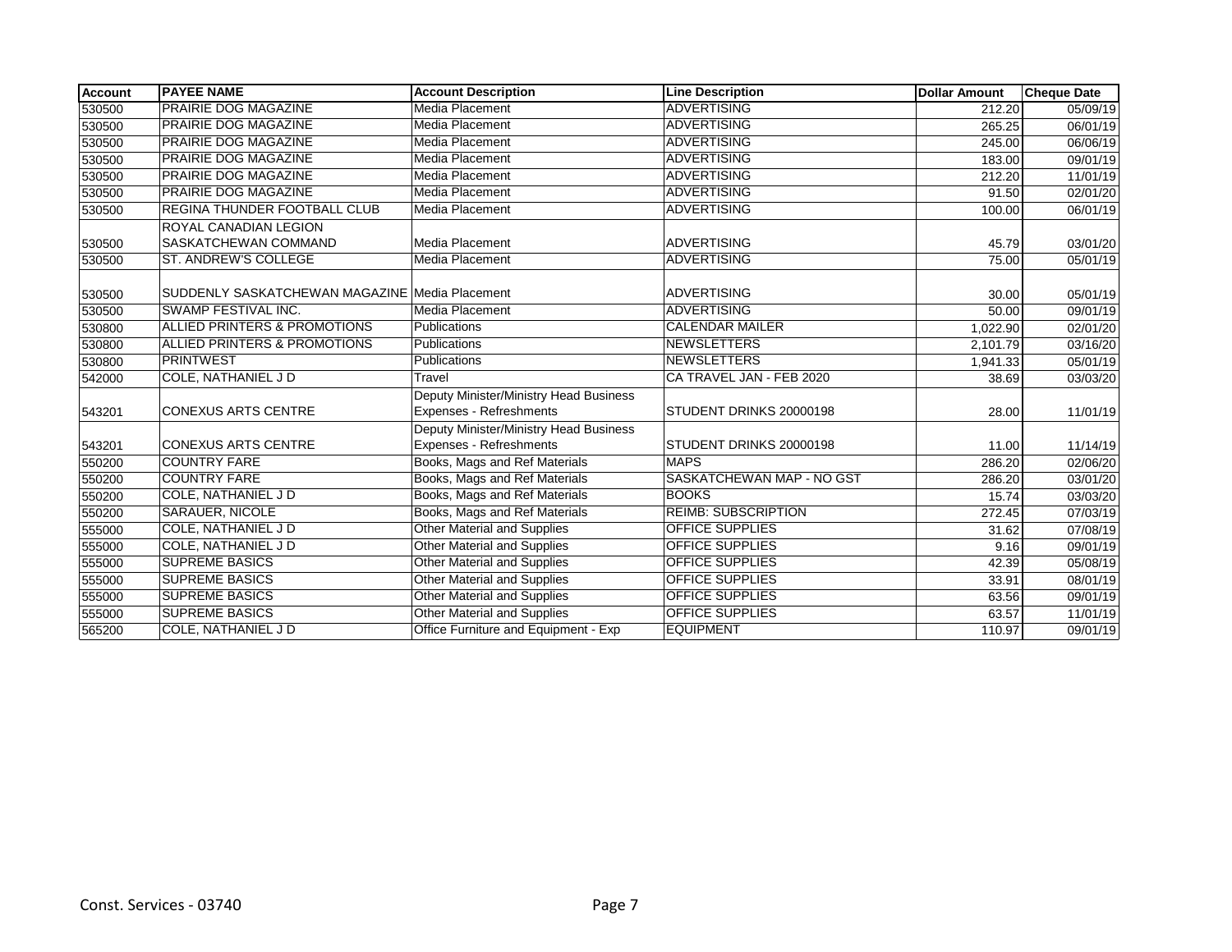| <b>Account</b> | <b>PAYEE NAME</b>                              | <b>Account Description</b>             | <b>Line Description</b>    | <b>Dollar Amount</b> | <b>Cheque Date</b> |
|----------------|------------------------------------------------|----------------------------------------|----------------------------|----------------------|--------------------|
| 530500         | <b>PRAIRIE DOG MAGAZINE</b>                    | Media Placement                        | <b>ADVERTISING</b>         | 212.20               | 05/09/19           |
| 530500         | <b>PRAIRIE DOG MAGAZINE</b>                    | Media Placement                        | <b>ADVERTISING</b>         | 265.25               | 06/01/19           |
| 530500         | PRAIRIE DOG MAGAZINE                           | Media Placement                        | <b>ADVERTISING</b>         | 245.00               | 06/06/19           |
| 530500         | PRAIRIE DOG MAGAZINE                           | Media Placement                        | <b>ADVERTISING</b>         | 183.00               | 09/01/19           |
| 530500         | PRAIRIE DOG MAGAZINE                           | Media Placement                        | <b>ADVERTISING</b>         | 212.20               | 11/01/19           |
| 530500         | PRAIRIE DOG MAGAZINE                           | Media Placement                        | <b>ADVERTISING</b>         | 91.50                | 02/01/20           |
| 530500         | <b>REGINA THUNDER FOOTBALL CLUB</b>            | Media Placement                        | <b>ADVERTISING</b>         | 100.00               | 06/01/19           |
|                | ROYAL CANADIAN LEGION                          |                                        |                            |                      |                    |
| 530500         | SASKATCHEWAN COMMAND                           | Media Placement                        | <b>ADVERTISING</b>         | 45.79                | 03/01/20           |
| 530500         | ST. ANDREW'S COLLEGE                           | <b>Media Placement</b>                 | <b>ADVERTISING</b>         | 75.00                | 05/01/19           |
|                |                                                |                                        |                            |                      |                    |
| 530500         | SUDDENLY SASKATCHEWAN MAGAZINE Media Placement |                                        | <b>ADVERTISING</b>         | 30.00                | 05/01/19           |
| 530500         | SWAMP FESTIVAL INC.                            | Media Placement                        | <b>ADVERTISING</b>         | 50.00                | 09/01/19           |
| 530800         | ALLIED PRINTERS & PROMOTIONS                   | Publications                           | <b>CALENDAR MAILER</b>     | 1,022.90             | 02/01/20           |
| 530800         | ALLIED PRINTERS & PROMOTIONS                   | Publications                           | <b>NEWSLETTERS</b>         | 2,101.79             | 03/16/20           |
| 530800         | <b>PRINTWEST</b>                               | <b>Publications</b>                    | <b>NEWSLETTERS</b>         | 1,941.33             | 05/01/19           |
| 542000         | COLE, NATHANIEL J D                            | Travel                                 | CA TRAVEL JAN - FEB 2020   | 38.69                | 03/03/20           |
|                |                                                | Deputy Minister/Ministry Head Business |                            |                      |                    |
| 543201         | <b>CONEXUS ARTS CENTRE</b>                     | Expenses - Refreshments                | STUDENT DRINKS 20000198    | 28.00                | 11/01/19           |
|                |                                                | Deputy Minister/Ministry Head Business |                            |                      |                    |
| 543201         | <b>CONEXUS ARTS CENTRE</b>                     | Expenses - Refreshments                | STUDENT DRINKS 20000198    | 11.00                | 11/14/19           |
| 550200         | <b>COUNTRY FARE</b>                            | Books, Mags and Ref Materials          | <b>MAPS</b>                | 286.20               | 02/06/20           |
| 550200         | <b>COUNTRY FARE</b>                            | Books, Mags and Ref Materials          | SASKATCHEWAN MAP - NO GST  | 286.20               | 03/01/20           |
| 550200         | COLE, NATHANIEL J D                            | Books, Mags and Ref Materials          | <b>BOOKS</b>               | 15.74                | 03/03/20           |
| 550200         | SARAUER, NICOLE                                | Books, Mags and Ref Materials          | <b>REIMB: SUBSCRIPTION</b> | 272.45               | 07/03/19           |
| 555000         | COLE, NATHANIEL J D                            | <b>Other Material and Supplies</b>     | <b>OFFICE SUPPLIES</b>     | 31.62                | 07/08/19           |
| 555000         | COLE, NATHANIEL J D                            | <b>Other Material and Supplies</b>     | <b>OFFICE SUPPLIES</b>     | 9.16                 | 09/01/19           |
| 555000         | <b>SUPREME BASICS</b>                          | <b>Other Material and Supplies</b>     | OFFICE SUPPLIES            | 42.39                | 05/08/19           |
| 555000         | <b>SUPREME BASICS</b>                          | <b>Other Material and Supplies</b>     | <b>OFFICE SUPPLIES</b>     | 33.91                | 08/01/19           |
| 555000         | <b>SUPREME BASICS</b>                          | <b>Other Material and Supplies</b>     | <b>OFFICE SUPPLIES</b>     | 63.56                | 09/01/19           |
| 555000         | <b>SUPREME BASICS</b>                          | <b>Other Material and Supplies</b>     | <b>OFFICE SUPPLIES</b>     | 63.57                | 11/01/19           |
| 565200         | COLE, NATHANIEL J D                            | Office Furniture and Equipment - Exp   | <b>EQUIPMENT</b>           | 110.97               | 09/01/19           |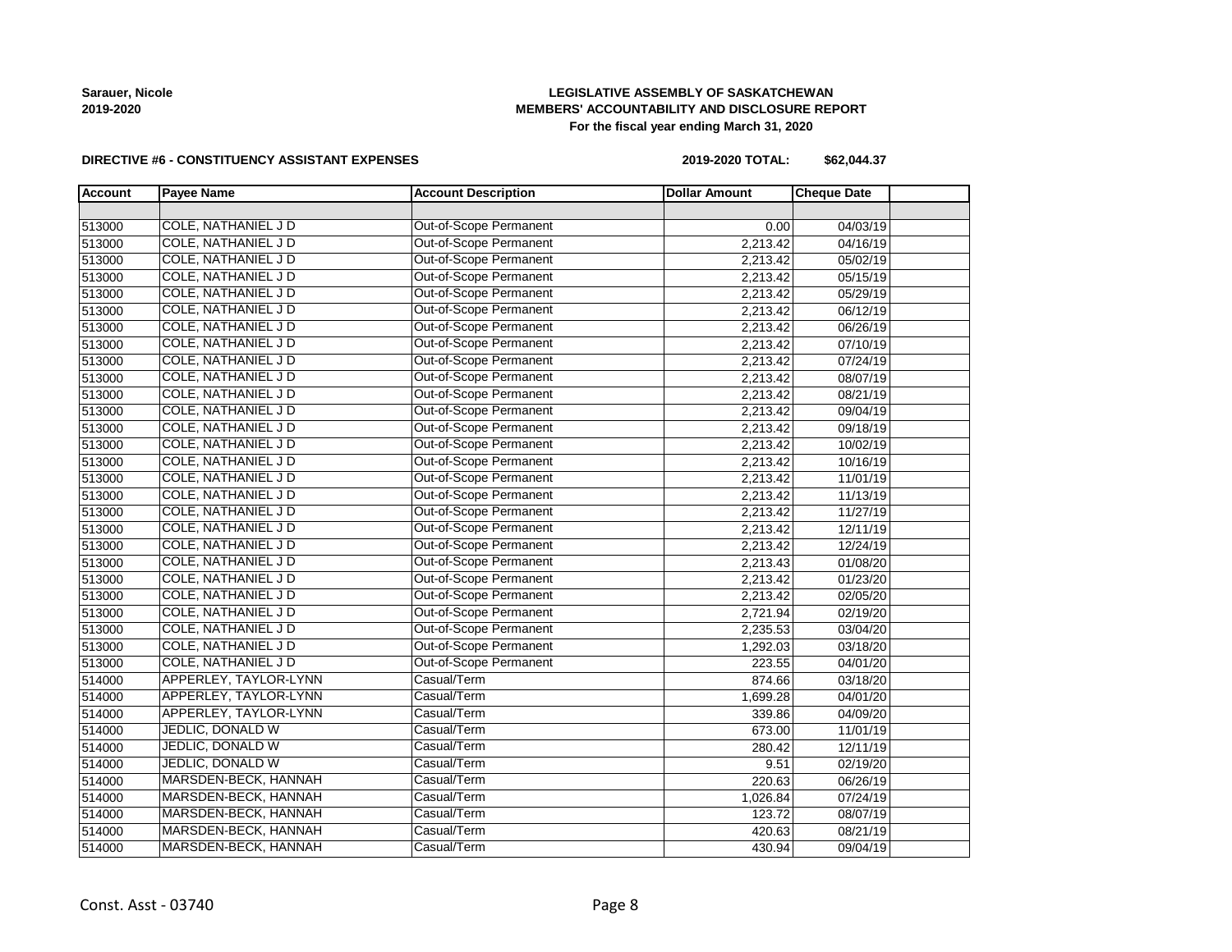

# **LEGISLATIVE ASSEMBLY OF SASKATCHEWAN MEMBERS' ACCOUNTABILITY AND DISCLOSURE REPORT For the fiscal year ending March 31, 2020**

#### **DIRECTIVE #6 - CONSTITUENCY ASSISTANT EXPENSES**

**2019-2020 TOTAL: \$62,044.37**

| <b>Account</b> | <b>Payee Name</b>            | <b>Account Description</b> | <b>Dollar Amount</b> | <b>Cheque Date</b> |  |
|----------------|------------------------------|----------------------------|----------------------|--------------------|--|
|                |                              |                            |                      |                    |  |
| 513000         | COLE, NATHANIEL J D          | Out-of-Scope Permanent     | 0.00                 | 04/03/19           |  |
| 513000         | <b>COLE, NATHANIEL J D</b>   | Out-of-Scope Permanent     | 2,213.42             | 04/16/19           |  |
| 513000         | <b>COLE, NATHANIEL JD</b>    | Out-of-Scope Permanent     | 2,213.42             | 05/02/19           |  |
| 513000         | <b>COLE, NATHANIEL JD</b>    | Out-of-Scope Permanent     | 2,213.42             | 05/15/19           |  |
| 513000         | COLE, NATHANIEL J D          | Out-of-Scope Permanent     | 2,213.42             | 05/29/19           |  |
| 513000         | COLE, NATHANIEL J D          | Out-of-Scope Permanent     | 2,213.42             | 06/12/19           |  |
| 513000         | COLE, NATHANIEL J D          | Out-of-Scope Permanent     | 2,213.42             | 06/26/19           |  |
| 513000         | <b>COLE, NATHANIEL J D</b>   | Out-of-Scope Permanent     | 2,213.42             | 07/10/19           |  |
| 513000         | COLE, NATHANIEL J D          | Out-of-Scope Permanent     | 2,213.42             | 07/24/19           |  |
| 513000         | COLE, NATHANIEL J D          | Out-of-Scope Permanent     | 2,213.42             | 08/07/19           |  |
| 513000         | COLE, NATHANIEL J D          | Out-of-Scope Permanent     | 2,213.42             | 08/21/19           |  |
| 513000         | <b>COLE, NATHANIEL JD</b>    | Out-of-Scope Permanent     | 2,213.42             | 09/04/19           |  |
| 513000         | COLE, NATHANIEL J D          | Out-of-Scope Permanent     | 2,213.42             | 09/18/19           |  |
| 513000         | COLE, NATHANIEL J D          | Out-of-Scope Permanent     | 2,213.42             | 10/02/19           |  |
| 513000         | <b>COLE, NATHANIEL J D</b>   | Out-of-Scope Permanent     | 2,213.42             | 10/16/19           |  |
| 513000         | COLE, NATHANIEL J D          | Out-of-Scope Permanent     | 2,213.42             | 11/01/19           |  |
| 513000         | COLE, NATHANIEL J D          | Out-of-Scope Permanent     | 2,213.42             | 11/13/19           |  |
| 513000         | COLE, NATHANIEL J D          | Out-of-Scope Permanent     | 2,213.42             | 11/27/19           |  |
| 513000         | COLE, NATHANIEL J D          | Out-of-Scope Permanent     | 2,213.42             | 12/11/19           |  |
| 513000         | COLE, NATHANIEL J D          | Out-of-Scope Permanent     | 2,213.42             | 12/24/19           |  |
| 513000         | <b>COLE, NATHANIEL J D</b>   | Out-of-Scope Permanent     | 2,213.43             | 01/08/20           |  |
| 513000         | COLE, NATHANIEL J D          | Out-of-Scope Permanent     | 2,213.42             | 01/23/20           |  |
| 513000         | <b>COLE, NATHANIEL JD</b>    | Out-of-Scope Permanent     | 2,213.42             | 02/05/20           |  |
| 513000         | COLE, NATHANIEL J D          | Out-of-Scope Permanent     | 2,721.94             | 02/19/20           |  |
| 513000         | COLE, NATHANIEL J D          | Out-of-Scope Permanent     | 2,235.53             | 03/04/20           |  |
| 513000         | COLE, NATHANIEL J D          | Out-of-Scope Permanent     | 1,292.03             | 03/18/20           |  |
| 513000         | COLE, NATHANIEL J D          | Out-of-Scope Permanent     | 223.55               | 04/01/20           |  |
| 514000         | APPERLEY, TAYLOR-LYNN        | Casual/Term                | 874.66               | 03/18/20           |  |
| 514000         | APPERLEY, TAYLOR-LYNN        | Casual/Term                | 1,699.28             | 04/01/20           |  |
| 514000         | <b>APPERLEY, TAYLOR-LYNN</b> | Casual/Term                | 339.86               | 04/09/20           |  |
| 514000         | JEDLIC, DONALD W             | Casual/Term                | 673.00               | 11/01/19           |  |
| 514000         | JEDLIC, DONALD W             | Casual/Term                | 280.42               | 12/11/19           |  |
| 514000         | JEDLIC, DONALD W             | Casual/Term                | 9.51                 | 02/19/20           |  |
| 514000         | MARSDEN-BECK, HANNAH         | Casual/Term                | 220.63               | 06/26/19           |  |
| 514000         | MARSDEN-BECK, HANNAH         | Casual/Term                | 1,026.84             | 07/24/19           |  |
| 514000         | MARSDEN-BECK, HANNAH         | Casual/Term                | 123.72               | 08/07/19           |  |
| 514000         | MARSDEN-BECK, HANNAH         | Casual/Term                | 420.63               | 08/21/19           |  |
| 514000         | MARSDEN-BECK, HANNAH         | Casual/Term                | 430.94               | 09/04/19           |  |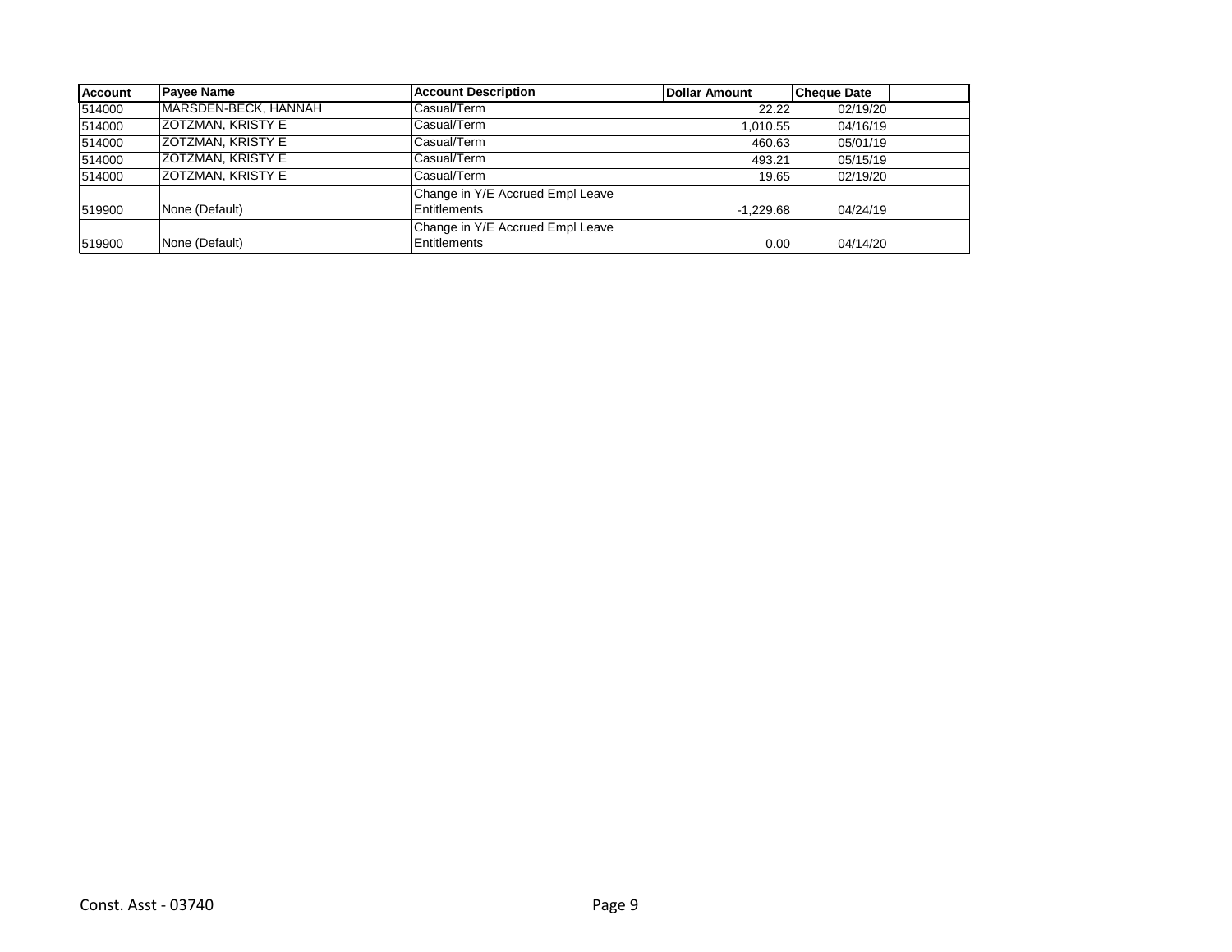| <b>Account</b> | <b>Payee Name</b>        | <b>Account Description</b>       | <b>Dollar Amount</b> | <b>Cheque Date</b> |  |
|----------------|--------------------------|----------------------------------|----------------------|--------------------|--|
| 514000         | MARSDEN-BECK, HANNAH     | Casual/Term                      | 22.22                | 02/19/20           |  |
| 514000         | <b>ZOTZMAN, KRISTY E</b> | Casual/Term                      | 1,010.55             | 04/16/19           |  |
| 514000         | <b>ZOTZMAN, KRISTY E</b> | Casual/Term                      | 460.63               | 05/01/19           |  |
| 514000         | <b>ZOTZMAN, KRISTY E</b> | Casual/Term                      | 493.21               | 05/15/19           |  |
| 514000         | <b>ZOTZMAN, KRISTY E</b> | Casual/Term                      | 19.65                | 02/19/20           |  |
|                |                          | Change in Y/E Accrued Empl Leave |                      |                    |  |
| 519900         | None (Default)           | <b>Entitlements</b>              | -1.229.68            | 04/24/19           |  |
|                |                          | Change in Y/E Accrued Empl Leave |                      |                    |  |
| 519900         | None (Default)           | <b>Entitlements</b>              | 0.00                 | 04/14/20           |  |